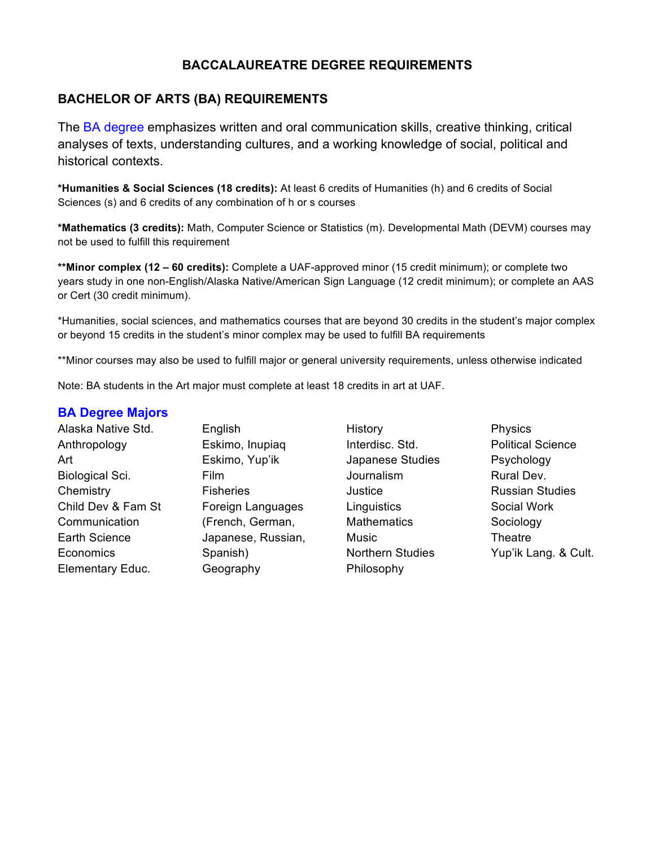# **BACCALAUREATRE DEGREE REQUIREMENTS**

## **BACHELOR OF ARTS (BA) REQUIREMENTS**

The BA degree emphasizes written and oral communication skills, creative thinking, critical analyses of texts, understanding cultures, and a working knowledge of social, political and historical contexts.

**\*Humanities & Social Sciences (18 credits):** At least 6 credits of Humanities (h) and 6 credits of Social Sciences (s) and 6 credits of any combination of h or s courses

**\*Mathematics (3 credits):** Math, Computer Science or Statistics (m). Developmental Math (DEVM) courses may not be used to fulfill this requirement

**\*\*Minor complex (12 – 60 credits):** Complete a UAF-approved minor (15 credit minimum); or complete two years study in one non-English/Alaska Native/American Sign Language (12 credit minimum); or complete an AAS or Cert (30 credit minimum).

\*Humanities, social sciences, and mathematics courses that are beyond 30 credits in the student's major complex or beyond 15 credits in the student's minor complex may be used to fulfill BA requirements

\*\*Minor courses may also be used to fulfill major or general university requirements, unless otherwise indicated

Note: BA students in the Art major must complete at least 18 credits in art at UAF.

#### **BA Degree Majors**

| Alaska Native Std.     | English         |
|------------------------|-----------------|
| Anthropology           | Eskimo,         |
| Art                    | Eskimo,         |
| <b>Biological Sci.</b> | Film            |
| Chemistry              | <b>Fisherie</b> |
| Child Dev & Fam St     | Foreign         |
| Communication          | (French,        |
| <b>Earth Science</b>   | Japanes         |
| Economics              | Spanish         |
| Elementary Educ.       | Geograp         |

Inupiaq Yup'ik  $\mathbf{s}$ Languages German, se, Russian,  $\mathbf{I}$ aphy

- History Interdisc. Std. Japanese Studies Journalism **Justice Linguistics Mathematics Music** Northern Studies Philosophy
- Physics Political Science Psychology Rural Dev. Russian Studies Social Work Sociology **Theatre** Yup'ik Lang. & Cult.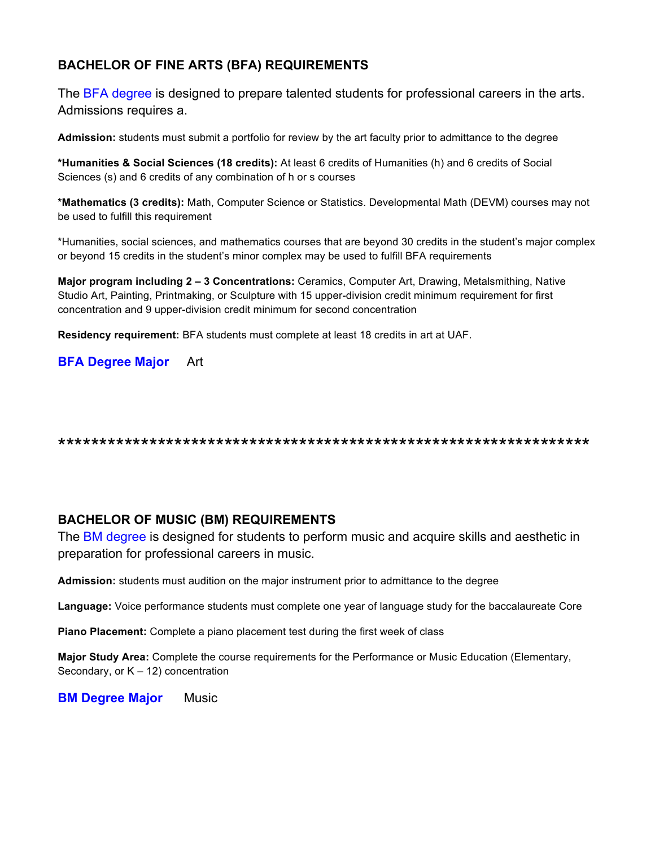# **BACHELOR OF FINE ARTS (BFA) REQUIREMENTS**

The BFA degree is designed to prepare talented students for professional careers in the arts. Admissions requires a.

**Admission:** students must submit a portfolio for review by the art faculty prior to admittance to the degree

**\*Humanities & Social Sciences (18 credits):** At least 6 credits of Humanities (h) and 6 credits of Social Sciences (s) and 6 credits of any combination of h or s courses

**\*Mathematics (3 credits):** Math, Computer Science or Statistics. Developmental Math (DEVM) courses may not be used to fulfill this requirement

\*Humanities, social sciences, and mathematics courses that are beyond 30 credits in the student's major complex or beyond 15 credits in the student's minor complex may be used to fulfill BFA requirements

**Major program including 2 – 3 Concentrations:** Ceramics, Computer Art, Drawing, Metalsmithing, Native Studio Art, Painting, Printmaking, or Sculpture with 15 upper-division credit minimum requirement for first concentration and 9 upper-division credit minimum for second concentration

**Residency requirement:** BFA students must complete at least 18 credits in art at UAF.

**BFA Degree Major** Art

\*\*\*\*\*\*\*\*\*\*\*\*\*\*\*\*\*\*\*\*\*\*\*\*\*\*\*\*\*\*\*\*\*\*\*\*\*\*\*\*\*\*\*\*\*\*\*\*\*\*\*\*\*\*\*\*\*\*\*\*\*\*\*\*

### **BACHELOR OF MUSIC (BM) REQUIREMENTS**

The BM degree is designed for students to perform music and acquire skills and aesthetic in preparation for professional careers in music.

**Admission:** students must audition on the major instrument prior to admittance to the degree

**Language:** Voice performance students must complete one year of language study for the baccalaureate Core

**Piano Placement:** Complete a piano placement test during the first week of class

**Major Study Area:** Complete the course requirements for the Performance or Music Education (Elementary, Secondary, or  $K - 12$ ) concentration

**BM Degree Major** Music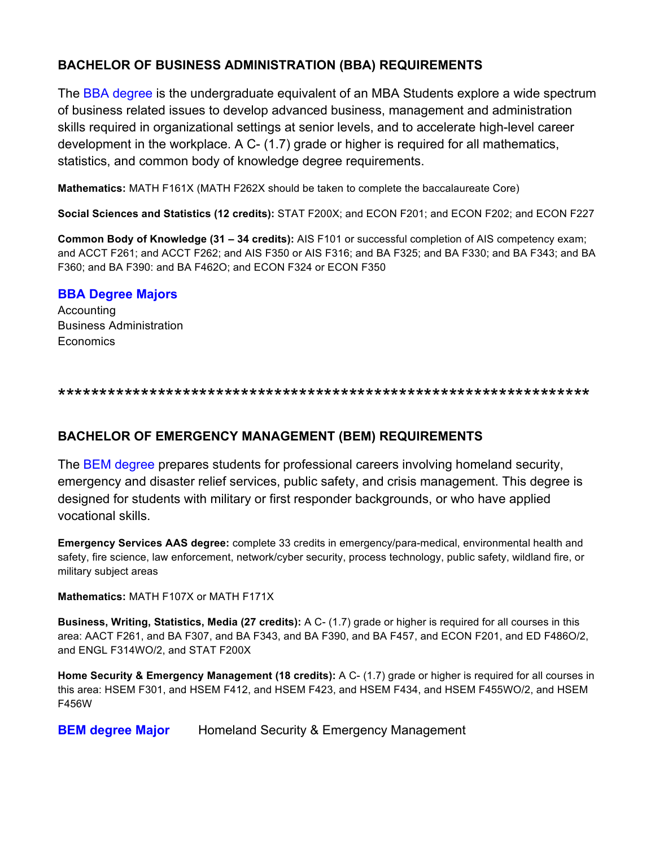# **BACHELOR OF BUSINESS ADMINISTRATION (BBA) REQUIREMENTS**

The BBA degree is the undergraduate equivalent of an MBA Students explore a wide spectrum of business related issues to develop advanced business, management and administration skills required in organizational settings at senior levels, and to accelerate high-level career development in the workplace. A C- (1.7) grade or higher is required for all mathematics, statistics, and common body of knowledge degree requirements.

**Mathematics:** MATH F161X (MATH F262X should be taken to complete the baccalaureate Core)

**Social Sciences and Statistics (12 credits):** STAT F200X; and ECON F201; and ECON F202; and ECON F227

**Common Body of Knowledge (31 – 34 credits):** AIS F101 or successful completion of AIS competency exam; and ACCT F261; and ACCT F262; and AIS F350 or AIS F316; and BA F325; and BA F330; and BA F343; and BA F360; and BA F390: and BA F462O; and ECON F324 or ECON F350

## **BBA Degree Majors**

Accounting Business Administration **Economics** 

\*\*\*\*\*\*\*\*\*\*\*\*\*\*\*\*\*\*\*\*\*\*\*\*\*\*\*\*\*\*\*\*\*\*\*\*\*\*\*\*\*\*\*\*\*\*\*\*\*\*\*\*\*\*\*\*\*\*\*\*\*\*\*\*

# **BACHELOR OF EMERGENCY MANAGEMENT (BEM) REQUIREMENTS**

The BEM degree prepares students for professional careers involving homeland security, emergency and disaster relief services, public safety, and crisis management. This degree is designed for students with military or first responder backgrounds, or who have applied vocational skills.

**Emergency Services AAS degree:** complete 33 credits in emergency/para-medical, environmental health and safety, fire science, law enforcement, network/cyber security, process technology, public safety, wildland fire, or military subject areas

**Mathematics:** MATH F107X or MATH F171X

**Business, Writing, Statistics, Media (27 credits):** A C- (1.7) grade or higher is required for all courses in this area: AACT F261, and BA F307, and BA F343, and BA F390, and BA F457, and ECON F201, and ED F486O/2, and ENGL F314WO/2, and STAT F200X

**Home Security & Emergency Management (18 credits):** A C- (1.7) grade or higher is required for all courses in this area: HSEM F301, and HSEM F412, and HSEM F423, and HSEM F434, and HSEM F455WO/2, and HSEM F456W

**BEM degree Major** Homeland Security & Emergency Management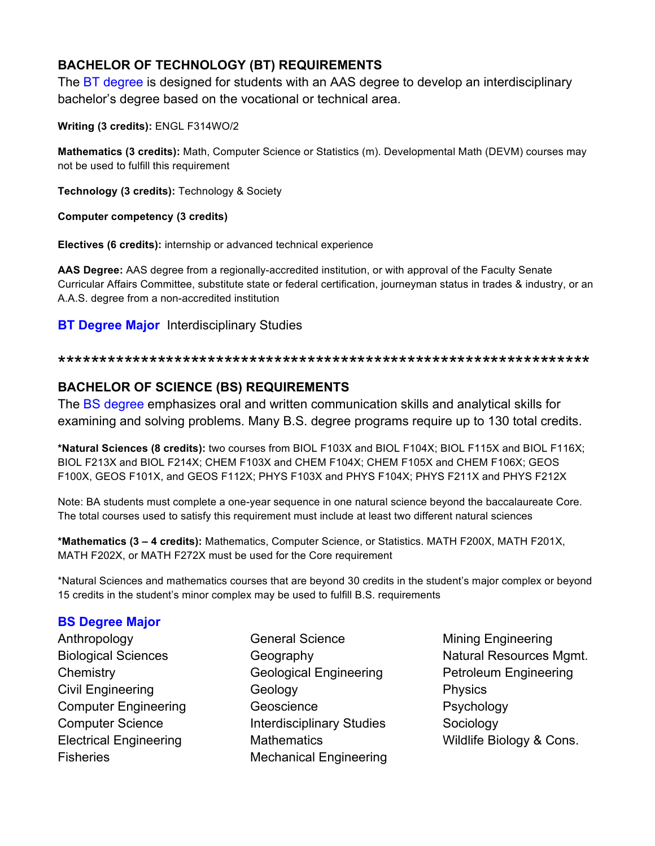# **BACHELOR OF TECHNOLOGY (BT) REQUIREMENTS**

The BT degree is designed for students with an AAS degree to develop an interdisciplinary bachelor's degree based on the vocational or technical area.

**Writing (3 credits):** ENGL F314WO/2

**Mathematics (3 credits):** Math, Computer Science or Statistics (m). Developmental Math (DEVM) courses may not be used to fulfill this requirement

**Technology (3 credits):** Technology & Society

**Computer competency (3 credits)**

**Electives (6 credits):** internship or advanced technical experience

**AAS Degree:** AAS degree from a regionally-accredited institution, or with approval of the Faculty Senate Curricular Affairs Committee, substitute state or federal certification, journeyman status in trades & industry, or an A.A.S. degree from a non-accredited institution

## **BT Degree Major** Interdisciplinary Studies

#### \*\*\*\*\*\*\*\*\*\*\*\*\*\*\*\*\*\*\*\*\*\*\*\*\*\*\*\*\*\*\*\*\*\*\*\*\*\*\*\*\*\*\*\*\*\*\*\*\*\*\*\*\*\*\*\*\*\*\*\*\*\*\*\*

# **BACHELOR OF SCIENCE (BS) REQUIREMENTS**

The BS degree emphasizes oral and written communication skills and analytical skills for examining and solving problems. Many B.S. degree programs require up to 130 total credits.

**\*Natural Sciences (8 credits):** two courses from BIOL F103X and BIOL F104X; BIOL F115X and BIOL F116X; BIOL F213X and BIOL F214X; CHEM F103X and CHEM F104X; CHEM F105X and CHEM F106X; GEOS F100X, GEOS F101X, and GEOS F112X; PHYS F103X and PHYS F104X; PHYS F211X and PHYS F212X

Note: BA students must complete a one-year sequence in one natural science beyond the baccalaureate Core. The total courses used to satisfy this requirement must include at least two different natural sciences

**\*Mathematics (3 – 4 credits):** Mathematics, Computer Science, or Statistics. MATH F200X, MATH F201X, MATH F202X, or MATH F272X must be used for the Core requirement

\*Natural Sciences and mathematics courses that are beyond 30 credits in the student's major complex or beyond 15 credits in the student's minor complex may be used to fulfill B.S. requirements

# **BS Degree Major**

- Anthropology Biological Sciences **Chemistry** Civil Engineering Computer Engineering Computer Science Electrical Engineering **Fisheries**
- General Science Geography Geological Engineering Geology Geoscience Interdisciplinary Studies **Mathematics** Mechanical Engineering
- Mining Engineering Natural Resources Mgmt. Petroleum Engineering Physics Psychology Sociology Wildlife Biology & Cons.